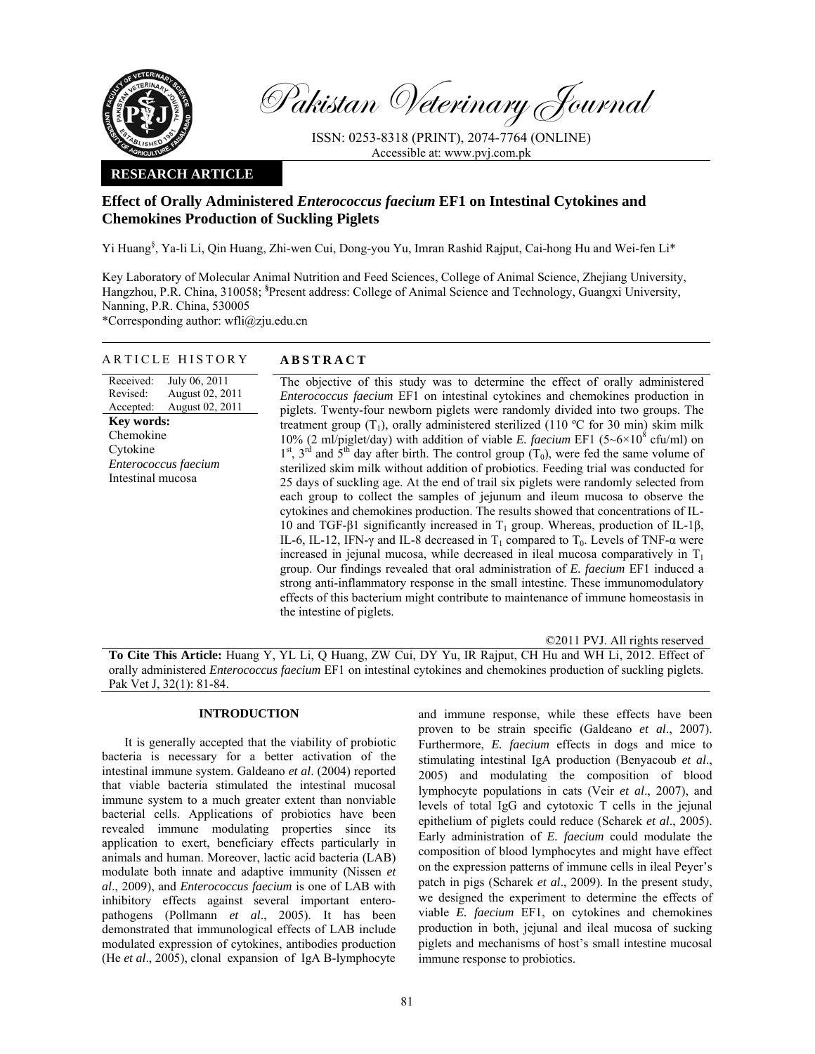

Pakistan Veterinary Journal

ISSN: 0253-8318 (PRINT), 2074-7764 (ONLINE) Accessible at: www.pvj.com.pk

## **RESEARCH ARTICLE**

# **Effect of Orally Administered** *Enterococcus faecium* **EF1 on Intestinal Cytokines and Chemokines Production of Suckling Piglets**

Yi Huang§ , Ya-li Li, Qin Huang, Zhi-wen Cui, Dong-you Yu, Imran Rashid Rajput, Cai-hong Hu and Wei-fen Li\*

Key Laboratory of Molecular Animal Nutrition and Feed Sciences, College of Animal Science, Zhejiang University, Hangzhou, P.R. China, 310058; **§** Present address: College of Animal Science and Technology, Guangxi University, Nanning, P.R. China, 530005

\*Corresponding author: wfli@zju.edu.cn

## ARTICLE HISTORY **ABSTRACT**

Received: Revised: Accepted: July 06, 2011 August 02, 2011 August 02, 2011 **Key words:**  Chemokine Cytokine *Enterococcus faecium*  Intestinal mucosa

The objective of this study was to determine the effect of orally administered *Enterococcus faecium* EF1 on intestinal cytokines and chemokines production in piglets. Twenty-four newborn piglets were randomly divided into two groups. The treatment group  $(T_1)$ , orally administered sterilized (110 °C for 30 min) skim milk 10% (2 ml/piglet/day) with addition of viable *E. faecium* EF1 (5~6×10<sup>8</sup> cfu/ml) on  $1<sup>st</sup>$ ,  $3<sup>rd</sup>$  and  $5<sup>th</sup>$  day after birth. The control group (T<sub>0</sub>), were fed the same volume of sterilized skim milk without addition of probiotics. Feeding trial was conducted for 25 days of suckling age. At the end of trail six piglets were randomly selected from each group to collect the samples of jejunum and ileum mucosa to observe the cytokines and chemokines production. The results showed that concentrations of IL-10 and TGF-β1 significantly increased in T<sub>1</sub> group. Whereas, production of IL-1β, IL-6, IL-12, IFN- $\gamma$  and IL-8 decreased in T<sub>1</sub> compared to T<sub>0</sub>. Levels of TNF- $\alpha$  were increased in jejunal mucosa, while decreased in ileal mucosa comparatively in  $T_1$ group. Our findings revealed that oral administration of *E. faecium* EF1 induced a strong anti-inflammatory response in the small intestine. These immunomodulatory effects of this bacterium might contribute to maintenance of immune homeostasis in the intestine of piglets.

©2011 PVJ. All rights reserved **To Cite This Article:** Huang Y, YL Li, Q Huang, ZW Cui, DY Yu, IR Rajput, CH Hu and WH Li, 2012. Effect of orally administered *Enterococcus faecium* EF1 on intestinal cytokines and chemokines production of suckling piglets. Pak Vet J, 32(1): 81-84.

## **INTRODUCTION**

It is generally accepted that the viability of probiotic bacteria is necessary for a better activation of the intestinal immune system. Galdeano *et al*. (2004) reported that viable bacteria stimulated the intestinal mucosal immune system to a much greater extent than nonviable bacterial cells. Applications of probiotics have been revealed immune modulating properties since its application to exert, beneficiary effects particularly in animals and human. Moreover, lactic acid bacteria (LAB) modulate both innate and adaptive immunity (Nissen *et al*., 2009), and *Enterococcus faecium* is one of LAB with inhibitory effects against several important enteropathogens (Pollmann *et al*., 2005). It has been demonstrated that immunological effects of LAB include modulated expression of cytokines, antibodies production (He *et al*., 2005), clonal expansion of IgA B-lymphocyte

and immune response, while these effects have been proven to be strain specific (Galdeano *et al*., 2007). Furthermore, *E. faecium* effects in dogs and mice to stimulating intestinal IgA production (Benyacoub *et al*., 2005) and modulating the composition of blood lymphocyte populations in cats (Veir *et al*., 2007), and levels of total IgG and cytotoxic T cells in the jejunal epithelium of piglets could reduce (Scharek *et al*., 2005). Early administration of *E. faecium* could modulate the composition of blood lymphocytes and might have effect on the expression patterns of immune cells in ileal Peyer's patch in pigs (Scharek *et al*., 2009). In the present study, we designed the experiment to determine the effects of viable *E. faecium* EF1, on cytokines and chemokines production in both, jejunal and ileal mucosa of sucking piglets and mechanisms of host's small intestine mucosal immune response to probiotics.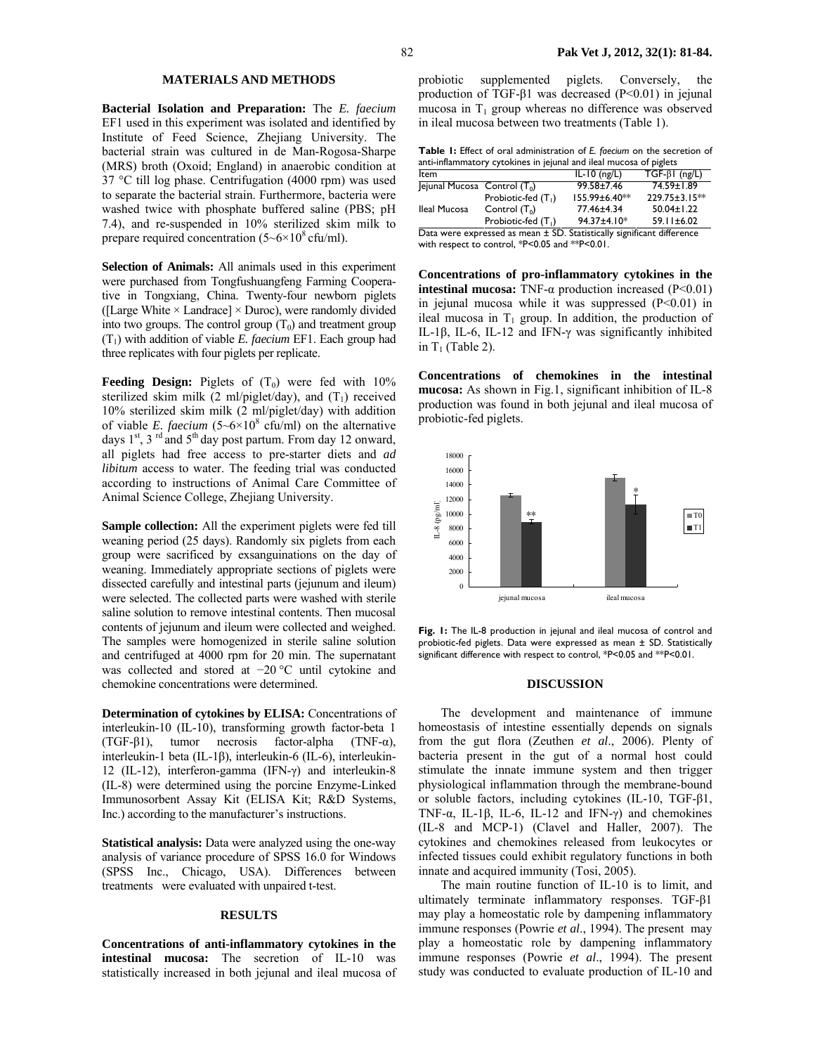## **MATERIALS AND METHODS**

**Bacterial Isolation and Preparation:** The *E. faecium* EF1 used in this experiment was isolated and identified by Institute of Feed Science, Zhejiang University. The bacterial strain was cultured in de Man-Rogosa-Sharpe (MRS) broth (Oxoid; England) in anaerobic condition at 37 °C till log phase. Centrifugation (4000 rpm) was used to separate the bacterial strain. Furthermore, bacteria were washed twice with phosphate buffered saline (PBS; pH 7.4), and re-suspended in 10% sterilized skim milk to prepare required concentration  $(5{\sim}6{\times}10^8 \text{ cfta/ml})$ .

**Selection of Animals:** All animals used in this experiment were purchased from Tongfushuangfeng Farming Cooperative in Tongxiang, China. Twenty-four newborn piglets ([Large White  $\times$  Landrace]  $\times$  Duroc), were randomly divided into two groups. The control group  $(T_0)$  and treatment group (T1) with addition of viable *E. faecium* EF1. Each group had three replicates with four piglets per replicate.

**Feeding Design:** Piglets of  $(T_0)$  were fed with 10% sterilized skim milk (2 ml/piglet/day), and  $(T_1)$  received 10% sterilized skim milk (2 ml/piglet/day) with addition of viable *E. faecium*  $(5-6\times10^8 \text{ cftu/ml})$  on the alternative days  $1<sup>st</sup>$ ,  $3<sup>rd</sup>$  and  $5<sup>th</sup>$  day post partum. From day 12 onward, all piglets had free access to pre-starter diets and *ad libitum* access to water. The feeding trial was conducted according to instructions of Animal Care Committee of Animal Science College, Zhejiang University.

**Sample collection:** All the experiment piglets were fed till weaning period (25 days). Randomly six piglets from each group were sacrificed by exsanguinations on the day of weaning. Immediately appropriate sections of piglets were dissected carefully and intestinal parts (jejunum and ileum) were selected. The collected parts were washed with sterile saline solution to remove intestinal contents. Then mucosal contents of jejunum and ileum were collected and weighed. The samples were homogenized in sterile saline solution and centrifuged at 4000 rpm for 20 min. The supernatant was collected and stored at −20 °C until cytokine and chemokine concentrations were determined.

**Determination of cytokines by ELISA:** Concentrations of interleukin-10 (IL-10), transforming growth factor-beta 1 (TGF-β1), tumor necrosis factor-alpha (TNF-α), interleukin-1 beta (IL-1β), interleukin-6 (IL-6), interleukin-12 (IL-12), interferon-gamma (IFN-γ) and interleukin-8 (IL-8) were determined using the porcine Enzyme-Linked Immunosorbent Assay Kit (ELISA Kit; R&D Systems, Inc.) according to the manufacturer's instructions.

**Statistical analysis:** Data were analyzed using the one-way analysis of variance procedure of SPSS 16.0 for Windows (SPSS Inc., Chicago, USA). Differences between treatments were evaluated with unpaired t-test.

### **RESULTS**

**Concentrations of anti-inflammatory cytokines in the intestinal mucosa:** The secretion of IL-10 was statistically increased in both jejunal and ileal mucosa of probiotic supplemented piglets. Conversely, the production of TGF-β1 was decreased  $(P<0.01)$  in jejunal mucosa in  $T_1$  group whereas no difference was observed in ileal mucosa between two treatments (Table 1).

**Table 1:** Effect of oral administration of *E. faecium* on the secretion of anti-inflammatory cytokines in jejunal and ileal mucosa of piglets

| Item                                                                       |                       | $IL-IO(ng/L)$ | $TGF-\betal (ng/L)$ |  |  |  |
|----------------------------------------------------------------------------|-----------------------|---------------|---------------------|--|--|--|
| $ $ ejunal Mucosa Control (T <sub>0</sub> )                                |                       | 99.58±7.46    | 74.59±1.89          |  |  |  |
|                                                                            | Probiotic-fed $(T_1)$ | 155.99±6.40** | 229.75±3.15**       |  |  |  |
| Ileal Mucosa                                                               | Control $(T_0)$       | 77.46±4.34    | $50.04 \pm 1.22$    |  |  |  |
|                                                                            | Probiotic-fed $(T_1)$ | 94.37±4.10*   | 59.11±6.02          |  |  |  |
| Data were expressed as mean $\pm$ SD. Statistically significant difference |                       |               |                     |  |  |  |

with respect to control, \*P<0.05 and \*\*P<0.01.

**Concentrations of pro-inflammatory cytokines in the intestinal mucosa:** TNF-α production increased (P<0.01) in jejunal mucosa while it was suppressed  $(P<0.01)$  in ileal mucosa in  $T_1$  group. In addition, the production of IL-1β, IL-6, IL-12 and IFN-γ was significantly inhibited in  $T_1$  (Table 2).

**Concentrations of chemokines in the intestinal mucosa:** As shown in Fig.1, significant inhibition of IL-8 production was found in both jejunal and ileal mucosa of probiotic-fed piglets.



**Fig. 1:** The IL-8 production in jejunal and ileal mucosa of control and probiotic-fed piglets. Data were expressed as mean ± SD. Statistically significant difference with respect to control, \*P<0.05 and \*\*P<0.01.

### **DISCUSSION**

The development and maintenance of immune homeostasis of intestine essentially depends on signals from the gut flora (Zeuthen *et al*., 2006). Plenty of bacteria present in the gut of a normal host could stimulate the innate immune system and then trigger physiological inflammation through the membrane-bound or soluble factors, including cytokines (IL-10, TGF-β1, TNF- $\alpha$ , IL-1 $\beta$ , IL-6, IL-12 and IFN- $\gamma$ ) and chemokines (IL-8 and MCP-1) (Clavel and Haller, 2007). The cytokines and chemokines released from leukocytes or infected tissues could exhibit regulatory functions in both innate and acquired immunity (Tosi, 2005).

The main routine function of IL-10 is to limit, and ultimately terminate inflammatory responses. TGF-β1 may play a homeostatic role by dampening inflammatory immune responses (Powrie *et al*., 1994). The present may play a homeostatic role by dampening inflammatory immune responses (Powrie *et al*., 1994). The present study was conducted to evaluate production of IL-10 and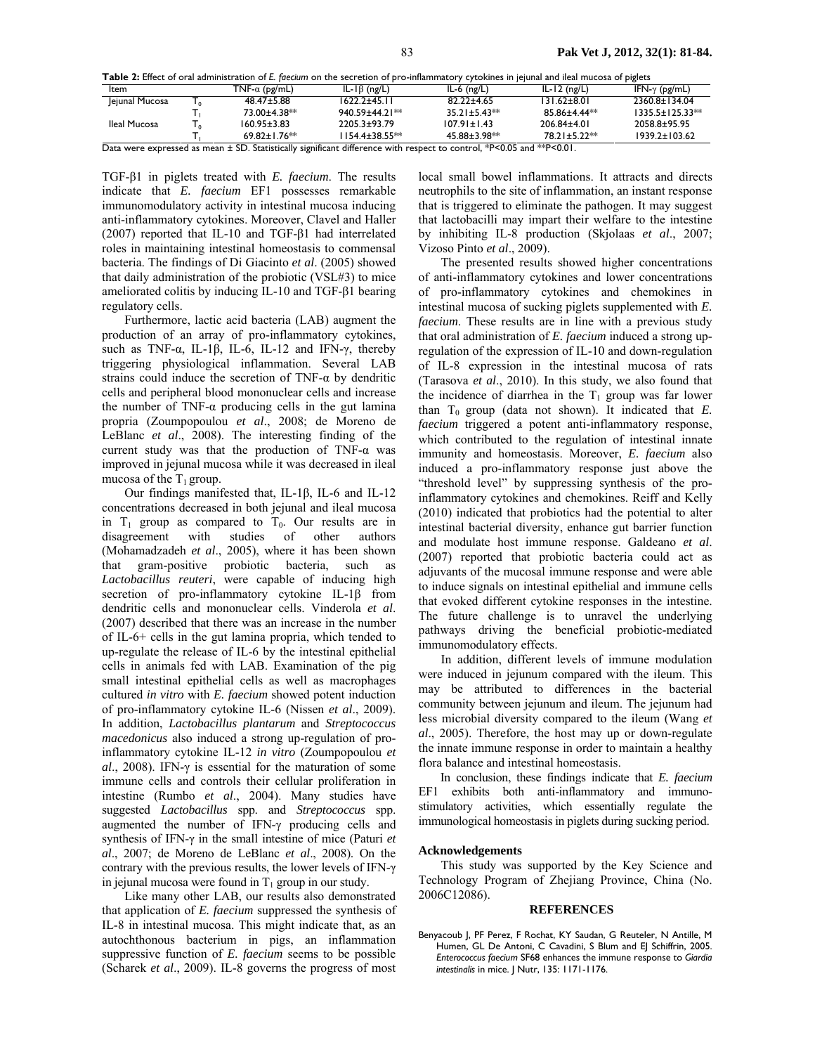|  |  | Table 2: Effect of oral administration of E. faecium on the secretion of pro-inflammatory cytokines in jejunal and ileal mucosa of piglets |
|--|--|--------------------------------------------------------------------------------------------------------------------------------------------|
|--|--|--------------------------------------------------------------------------------------------------------------------------------------------|

| Item                                                                                                            |  | $TNF-\alpha$ (pg/mL) | $IL-I\beta$ (ng/L)    | $IL-6$ (ng/L)      | $IL-I2$ (ng/L) | IFN- $\gamma$ (pg/mL)      |  |  |
|-----------------------------------------------------------------------------------------------------------------|--|----------------------|-----------------------|--------------------|----------------|----------------------------|--|--|
| Jejunal Mucosa                                                                                                  |  | $48.47 \pm 5.88$     | 1622.2+45.11          | $82.22 \pm 4.65$   | 131.62±8.01    | 2360.8±134.04              |  |  |
|                                                                                                                 |  | 73.00±4.38**         | 940.59±44.21**        | $35.21 \pm 5.43**$ | 85 86+4 44**   | $13355+1253$ <sup>**</sup> |  |  |
| Ileal Mucosa                                                                                                    |  | $160.95 \pm 3.83$    | 22053+9379            | $107.91 \pm 1.43$  | 206.84±4.01    | 2058 8+95 95               |  |  |
|                                                                                                                 |  | $69.82 + 1.76**$     | $1154.4 \pm 38.55$ ** | 45 88+3 98**       | 78.21+5.22**   | $1939.2 \pm 103.62$        |  |  |
| Dese titan attended as made in CD. Contacted to clasificate difference todal made as a consult SDAAF and SSDAAL |  |                      |                       |                    |                |                            |  |  |

Data were expressed as mean ± SD. Statistically significant difference with respect to control, \*P<0.05 and \*\*P<0.01.

TGF-β1 in piglets treated with *E. faecium*. The results indicate that *E. faecium* EF1 possesses remarkable immunomodulatory activity in intestinal mucosa inducing anti-inflammatory cytokines. Moreover, Clavel and Haller (2007) reported that IL-10 and TGF-β1 had interrelated roles in maintaining intestinal homeostasis to commensal bacteria. The findings of Di Giacinto *et al*. (2005) showed that daily administration of the probiotic (VSL#3) to mice ameliorated colitis by inducing IL-10 and TGF-β1 bearing regulatory cells.

Furthermore, lactic acid bacteria (LAB) augment the production of an array of pro-inflammatory cytokines, such as TNF- $\alpha$ , IL-1 $\beta$ , IL-6, IL-12 and IFN- $\gamma$ , thereby triggering physiological inflammation. Several LAB strains could induce the secretion of  $TNF-\alpha$  by dendritic cells and peripheral blood mononuclear cells and increase the number of TNF- $\alpha$  producing cells in the gut lamina propria (Zoumpopoulou *et al*., 2008; de Moreno de LeBlanc *et al*., 2008). The interesting finding of the current study was that the production of TNF- $\alpha$  was improved in jejunal mucosa while it was decreased in ileal mucosa of the  $T_1$  group.

Our findings manifested that, IL-1β, IL-6 and IL-12 concentrations decreased in both jejunal and ileal mucosa in  $T_1$  group as compared to  $T_0$ . Our results are in disagreement with studies of other authors (Mohamadzadeh *et al*., 2005), where it has been shown that gram-positive probiotic bacteria, such as *Lactobacillus reuteri*, were capable of inducing high secretion of pro-inflammatory cytokine IL-1β from dendritic cells and mononuclear cells. Vinderola *et al*. (2007) described that there was an increase in the number of IL-6+ cells in the gut lamina propria, which tended to up-regulate the release of IL-6 by the intestinal epithelial cells in animals fed with LAB. Examination of the pig small intestinal epithelial cells as well as macrophages cultured *in vitro* with *E. faecium* showed potent induction of pro-inflammatory cytokine IL-6 (Nissen *et al*., 2009). In addition, *Lactobacillus plantarum* and *Streptococcus macedonicus* also induced a strong up-regulation of proinflammatory cytokine IL-12 *in vitro* (Zoumpopoulou *et al*., 2008). IFN-γ is essential for the maturation of some immune cells and controls their cellular proliferation in intestine (Rumbo *et al*., 2004). Many studies have suggested *Lactobacillus* spp. and *Streptococcus* spp. augmented the number of IFN-γ producing cells and synthesis of IFN-γ in the small intestine of mice (Paturi *et al*., 2007; de Moreno de LeBlanc *et al*., 2008). On the contrary with the previous results, the lower levels of IFN-γ in jejunal mucosa were found in  $T_1$  group in our study.

Like many other LAB, our results also demonstrated that application of *E. faecium* suppressed the synthesis of IL-8 in intestinal mucosa. This might indicate that, as an autochthonous bacterium in pigs, an inflammation suppressive function of *E. faecium* seems to be possible (Scharek *et al*., 2009). IL-8 governs the progress of most local small bowel inflammations. It attracts and directs neutrophils to the site of inflammation, an instant response that is triggered to eliminate the pathogen. It may suggest that lactobacilli may impart their welfare to the intestine by inhibiting IL-8 production (Skjolaas *et al*., 2007; Vizoso Pinto *et al*., 2009).

The presented results showed higher concentrations of anti-inflammatory cytokines and lower concentrations of pro-inflammatory cytokines and chemokines in intestinal mucosa of sucking piglets supplemented with *E. faecium*. These results are in line with a previous study that oral administration of *E. faecium* induced a strong upregulation of the expression of IL-10 and down-regulation of IL-8 expression in the intestinal mucosa of rats (Tarasova *et al*., 2010). In this study, we also found that the incidence of diarrhea in the  $T_1$  group was far lower than  $T_0$  group (data not shown). It indicated that  $E$ . *faecium* triggered a potent anti-inflammatory response, which contributed to the regulation of intestinal innate immunity and homeostasis. Moreover, *E. faecium* also induced a pro-inflammatory response just above the "threshold level" by suppressing synthesis of the proinflammatory cytokines and chemokines. Reiff and Kelly (2010) indicated that probiotics had the potential to alter intestinal bacterial diversity, enhance gut barrier function and modulate host immune response. Galdeano *et al*. (2007) reported that probiotic bacteria could act as adjuvants of the mucosal immune response and were able to induce signals on intestinal epithelial and immune cells that evoked different cytokine responses in the intestine. The future challenge is to unravel the underlying pathways driving the beneficial probiotic-mediated immunomodulatory effects.

In addition, different levels of immune modulation were induced in jejunum compared with the ileum. This may be attributed to differences in the bacterial community between jejunum and ileum. The jejunum had less microbial diversity compared to the ileum (Wang *et al*., 2005). Therefore, the host may up or down-regulate the innate immune response in order to maintain a healthy flora balance and intestinal homeostasis.

In conclusion, these findings indicate that *E. faecium* EF1 exhibits both anti-inflammatory and immunostimulatory activities, which essentially regulate the immunological homeostasis in piglets during sucking period.

### **Acknowledgements**

This study was supported by the Key Science and Technology Program of Zhejiang Province, China (No. 2006C12086).

#### **REFERENCES**

Benyacoub J, PF Perez, F Rochat, KY Saudan, G Reuteler, N Antille, M Humen, GL De Antoni, C Cavadini, S Blum and EJ Schiffrin, 2005. *Enterococcus faecium* SF68 enhances the immune response to *Giardia intestinalis* in mice. J Nutr, 135: 1171-1176.